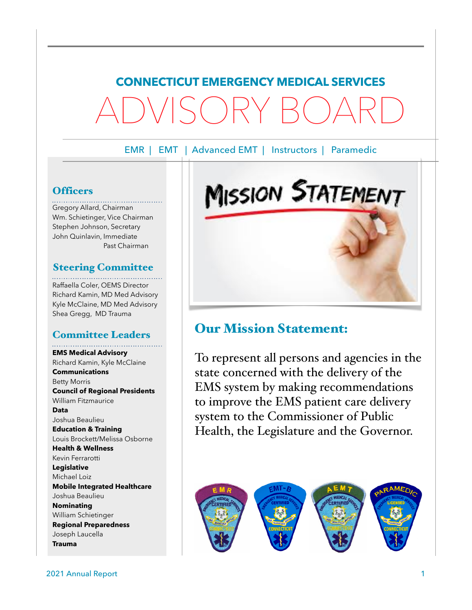## **CONNECTICUT EMERGENCY MEDICAL SERVICES** ADVISORY BOARD

EMR | EMT | Advanced EMT | Instructors | Paramedic

#### **Officers**

Gregory Allard, Chairman Wm. Schietinger, Vice Chairman Stephen Johnson, Secretary John Quinlavin, Immediate Past Chairman

#### Steering Committee

Raffaella Coler, OEMS Director Richard Kamin, MD Med Advisory Kyle McClaine, MD Med Advisory Shea Gregg, MD Trauma

#### Committee Leaders

**EMS Medical Advisory** Richard Kamin, Kyle McClaine **Communications** Betty Morris **Council of Regional Presidents** William Fitzmaurice **Data** Joshua Beaulieu **Education & Training** Louis Brockett/Melissa Osborne **Health & Wellness** Kevin Ferrarotti **Legislative** Michael Loiz **Mobile Integrated Healthcare** Joshua Beaulieu **Nominating** William Schietinger **Regional Preparedness** Joseph Laucella

**Trauma**

# Our Mission Statement:

To represent all persons and agencies in the state concerned with the delivery of the EMS system by making recommendations to improve the EMS patient care delivery system to the Commissioner of Public Health, the Legislature and the Governor.



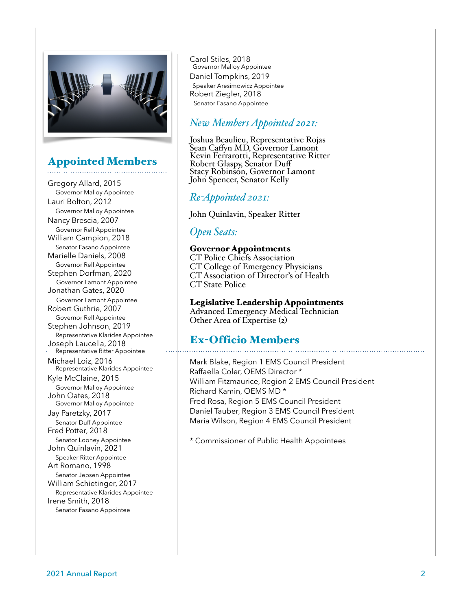

#### Appointed Members

Gregory Allard, 2015 Governor Malloy Appointee Lauri Bolton, 2012 Governor Malloy Appointee Nancy Brescia, 2007 Governor Rell Appointee William Campion, 2018 Senator Fasano Appointee Marielle Daniels, 2008 Governor Rell Appointee Stephen Dorfman, 2020 Governor Lamont Appointee Jonathan Gates, 2020 Governor Lamont Appointee Robert Guthrie, 2007 Governor Rell Appointee Stephen Johnson, 2019 Representative Klarides Appointee Joseph Laucella, 2018 Representative Ritter Appointee Michael Loiz, 2016 Representative Klarides Appointee Kyle McClaine, 2015 Governor Malloy Appointee John Oates, 2018 Governor Malloy Appointee Jay Paretzky, 2017 Senator Duff Appointee Fred Potter, 2018 Senator Looney Appointee John Quinlavin, 2021 Speaker Ritter Appointee Art Romano, 1998 Senator Jepsen Appointee William Schietinger, 2017 Representative Klarides Appointee Irene Smith, 2018 Senator Fasano Appointee

Carol Stiles, 2018 Governor Malloy Appointee Daniel Tompkins, 2019 Speaker Aresimowicz Appointee Robert Ziegler, 2018 Senator Fasano Appointee

#### *New Members Appointed 2021:*

Joshua Beaulieu, Representative Rojas<br>Sean Caffyn MD, Governor Lamont Kevin Ferrarotti, Representative Ritter Robert Glaspy, Senator Duff Stacy Robinson, Governor Lamont John Spencer, Senator Kelly

#### *Re-Appointed 2021:*

John Quinlavin, Speaker Ritter

#### *Open Seats:*

#### Governor Appointments

CT Police Chiefs Association CT College of Emergency Physicians CT Association of Director's of Health CT State Police

#### Legislative Leadership Appointments

Advanced Emergency Medical Technician Other Area of Expertise (2)

#### Ex-Officio Members

Mark Blake, Region 1 EMS Council President Raffaella Coler, OEMS Director \* William Fitzmaurice, Region 2 EMS Council President Richard Kamin, OEMS MD \* Fred Rosa, Region 5 EMS Council President Daniel Tauber, Region 3 EMS Council President Maria Wilson, Region 4 EMS Council President

\* Commissioner of Public Health Appointees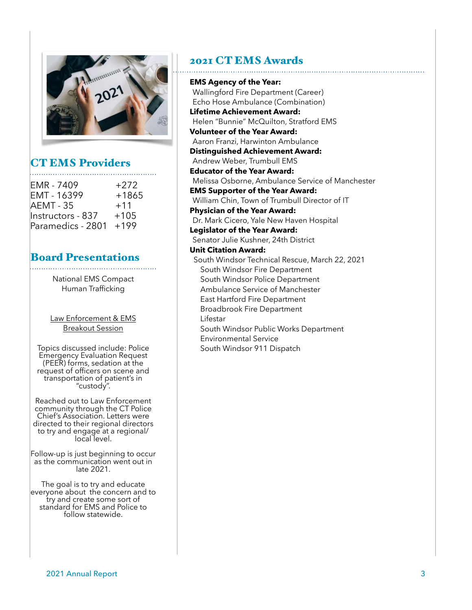

### CT EMS Providers

| EMR - 7409        | $+272$  |
|-------------------|---------|
| EMT - 16399       | $+1865$ |
| <b>AEMT - 35</b>  | $+11$   |
| Instructors - 837 | $+105$  |
| Paramedics - 2801 | $+199$  |
|                   |         |

#### Board Presentations

National EMS Compact Human Trafficking

Law Enforcement & EMS Breakout Session

Topics discussed include: Police Emergency Evaluation Request (PEER) forms, sedation at the request of officers on scene and transportation of patient's in "custody".

Reached out to Law Enforcement community through the CT Police Chief's Association. Letters were directed to their regional directors to try and engage at a regional/<br>local level.

Follow-up is just beginning to occur as the communication went out in late 2021.

The goal is to try and educate<br>everyone about the concern and to<br>try and create some sort of standard for EMS and Police to follow statewide.

#### 2021 CT EMS Awards

**EMS Agency of the Year:** Wallingford Fire Department (Career) Echo Hose Ambulance (Combination) **Lifetime Achievement Award:** Helen "Bunnie" McQuilton, Stratford EMS **Volunteer of the Year Award:** Aaron Franzi, Harwinton Ambulance **Distinguished Achievement Award:** Andrew Weber, Trumbull EMS **Educator of the Year Award:** Melissa Osborne, Ambulance Service of Manchester **EMS Supporter of the Year Award:** William Chin, Town of Trumbull Director of IT **Physician of the Year Award:** Dr. Mark Cicero, Yale New Haven Hospital **Legislator of the Year Award:** Senator Julie Kushner, 24th District **Unit Citation Award:** South Windsor Technical Rescue, March 22, 2021 South Windsor Fire Department South Windsor Police Department Ambulance Service of Manchester East Hartford Fire Department Broadbrook Fire Department Lifestar South Windsor Public Works Department Environmental Service South Windsor 911 Dispatch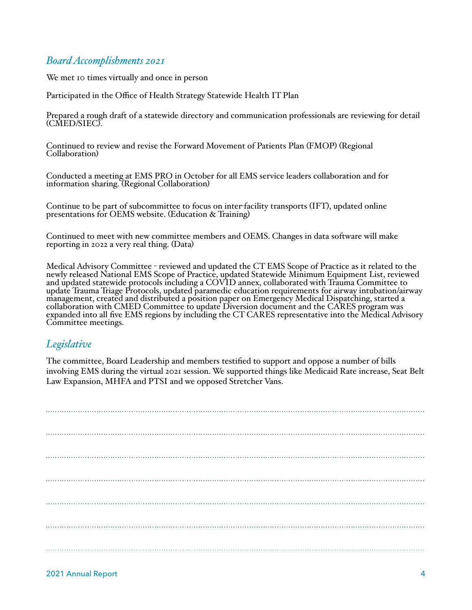#### *Board Accomplishments 2021*

We met 10 times virtually and once in person

Participated in the Office of Health Strategy Statewide Health IT Plan

Prepared a rough draft of a statewide directory and communication professionals are reviewing for detail (CMED/SIEC).

Continued to review and revise the Forward Movement of Patients Plan (FMOP) (Regional Collaboration)

Conducted a meeting at EMS PRO in October for all EMS service leaders collaboration and for information sharing. (Regional Collaboration)

Continue to be part of subcommittee to focus on inter-facility transports (IFT), updated online presentations for OEMS website. (Education & Training)

Continued to meet with new committee members and OEMS. Changes in data software will make reporting in 2022 a very real thing. (Data)

Medical Advisory Committee - reviewed and updated the CT EMS Scope of Practice as it related to the<br>newly released National EMS Scope of Practice, updated Statewide Minimum Equipment List, reviewed and updated statewide protocols including a COVID annex, collaborated with Trauma Committee to update Trauma Triage Protocols, updated paramedic education requirements for airway intubation/airway management, created and distributed a position paper on Emergency Medical Dispatching, started a collaboration with CMED Committee to update Diversion document and the CARES program was expanded into all five EMS regions by including the CT CARES representative into the Medical Advisory Committee meetings.

#### *Legislative*

The committee, Board Leadership and members testified to support and oppose a number of bills involving EMS during the virtual 2021 session. We supported things like Medicaid Rate increase, Seat Belt Law Expansion, MHFA and PTSI and we opposed Stretcher Vans.